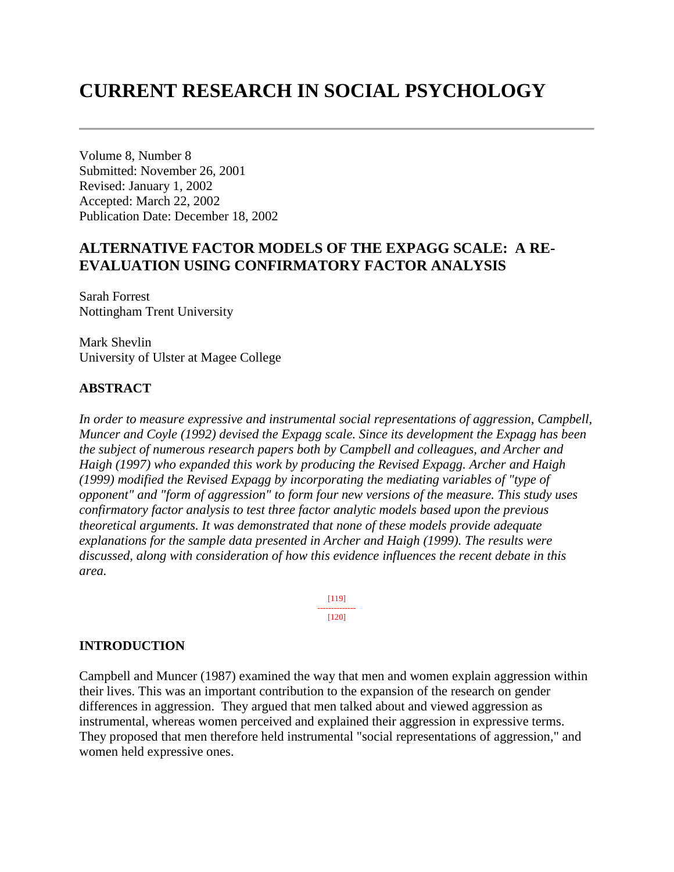# **CURRENT RESEARCH IN SOCIAL PSYCHOLOGY**

Volume 8, Number 8 Submitted: November 26, 2001 Revised: January 1, 2002 Accepted: March 22, 2002 Publication Date: December 18, 2002

# **ALTERNATIVE FACTOR MODELS OF THE EXPAGG SCALE: A RE-EVALUATION USING CONFIRMATORY FACTOR ANALYSIS**

Sarah Forrest Nottingham Trent University

Mark Shevlin University of Ulster at Magee College

#### **ABSTRACT**

*In order to measure expressive and instrumental social representations of aggression, Campbell, Muncer and Coyle (1992) devised the Expagg scale. Since its development the Expagg has been the subject of numerous research papers both by Campbell and colleagues, and Archer and Haigh (1997) who expanded this work by producing the Revised Expagg. Archer and Haigh (1999) modified the Revised Expagg by incorporating the mediating variables of "type of opponent" and "form of aggression" to form four new versions of the measure. This study uses confirmatory factor analysis to test three factor analytic models based upon the previous theoretical arguments. It was demonstrated that none of these models provide adequate explanations for the sample data presented in Archer and Haigh (1999). The results were discussed, along with consideration of how this evidence influences the recent debate in this area.*

> [119] -------------- [120]

#### **INTRODUCTION**

Campbell and Muncer (1987) examined the way that men and women explain aggression within their lives. This was an important contribution to the expansion of the research on gender differences in aggression. They argued that men talked about and viewed aggression as instrumental, whereas women perceived and explained their aggression in expressive terms. They proposed that men therefore held instrumental "social representations of aggression," and women held expressive ones.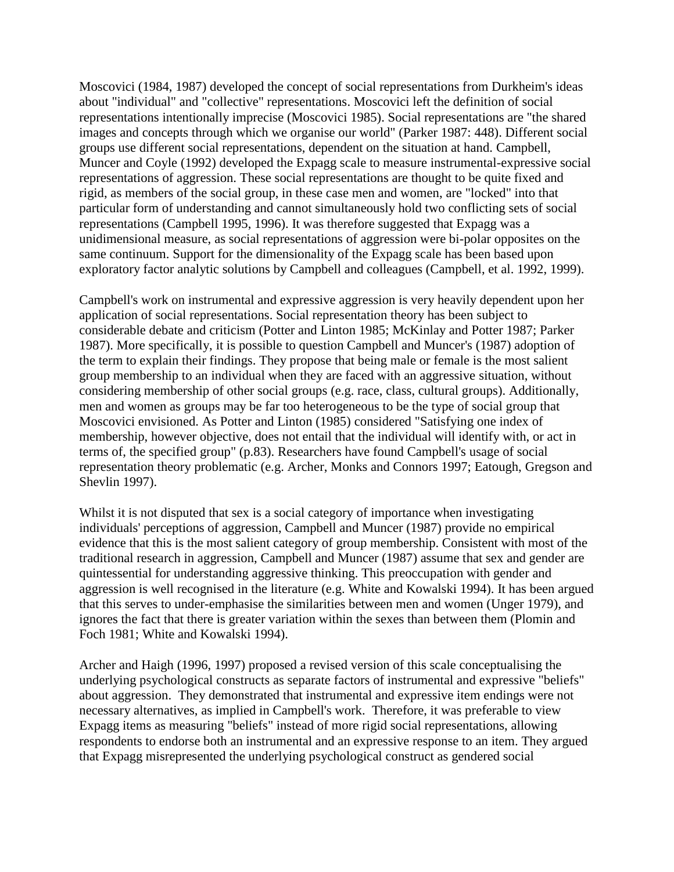Moscovici (1984, 1987) developed the concept of social representations from Durkheim's ideas about "individual" and "collective" representations. Moscovici left the definition of social representations intentionally imprecise (Moscovici 1985). Social representations are "the shared images and concepts through which we organise our world" (Parker 1987: 448). Different social groups use different social representations, dependent on the situation at hand. Campbell, Muncer and Coyle (1992) developed the Expagg scale to measure instrumental-expressive social representations of aggression. These social representations are thought to be quite fixed and rigid, as members of the social group, in these case men and women, are "locked" into that particular form of understanding and cannot simultaneously hold two conflicting sets of social representations (Campbell 1995, 1996). It was therefore suggested that Expagg was a unidimensional measure, as social representations of aggression were bi-polar opposites on the same continuum. Support for the dimensionality of the Expagg scale has been based upon exploratory factor analytic solutions by Campbell and colleagues (Campbell, et al. 1992, 1999).

Campbell's work on instrumental and expressive aggression is very heavily dependent upon her application of social representations. Social representation theory has been subject to considerable debate and criticism (Potter and Linton 1985; McKinlay and Potter 1987; Parker 1987). More specifically, it is possible to question Campbell and Muncer's (1987) adoption of the term to explain their findings. They propose that being male or female is the most salient group membership to an individual when they are faced with an aggressive situation, without considering membership of other social groups (e.g. race, class, cultural groups). Additionally, men and women as groups may be far too heterogeneous to be the type of social group that Moscovici envisioned. As Potter and Linton (1985) considered "Satisfying one index of membership, however objective, does not entail that the individual will identify with, or act in terms of, the specified group" (p.83). Researchers have found Campbell's usage of social representation theory problematic (e.g. Archer, Monks and Connors 1997; Eatough, Gregson and Shevlin 1997).

Whilst it is not disputed that sex is a social category of importance when investigating individuals' perceptions of aggression, Campbell and Muncer (1987) provide no empirical evidence that this is the most salient category of group membership. Consistent with most of the traditional research in aggression, Campbell and Muncer (1987) assume that sex and gender are quintessential for understanding aggressive thinking. This preoccupation with gender and aggression is well recognised in the literature (e.g. White and Kowalski 1994). It has been argued that this serves to under-emphasise the similarities between men and women (Unger 1979), and ignores the fact that there is greater variation within the sexes than between them (Plomin and Foch 1981; White and Kowalski 1994).

Archer and Haigh (1996, 1997) proposed a revised version of this scale conceptualising the underlying psychological constructs as separate factors of instrumental and expressive "beliefs" about aggression. They demonstrated that instrumental and expressive item endings were not necessary alternatives, as implied in Campbell's work. Therefore, it was preferable to view Expagg items as measuring "beliefs" instead of more rigid social representations, allowing respondents to endorse both an instrumental and an expressive response to an item. They argued that Expagg misrepresented the underlying psychological construct as gendered social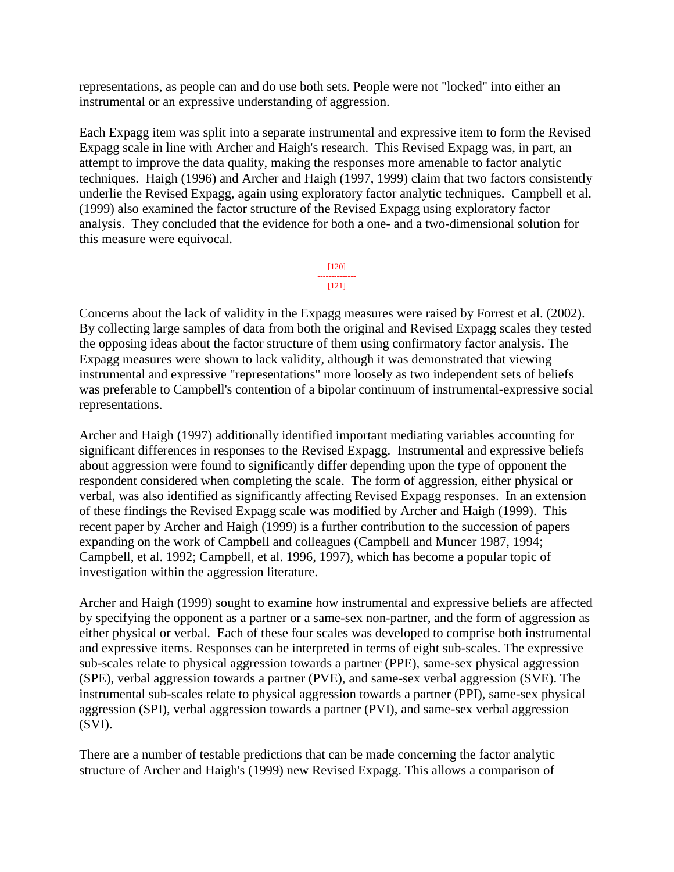representations, as people can and do use both sets. People were not "locked" into either an instrumental or an expressive understanding of aggression.

Each Expagg item was split into a separate instrumental and expressive item to form the Revised Expagg scale in line with Archer and Haigh's research. This Revised Expagg was, in part, an attempt to improve the data quality, making the responses more amenable to factor analytic techniques. Haigh (1996) and Archer and Haigh (1997, 1999) claim that two factors consistently underlie the Revised Expagg, again using exploratory factor analytic techniques. Campbell et al. (1999) also examined the factor structure of the Revised Expagg using exploratory factor analysis. They concluded that the evidence for both a one- and a two-dimensional solution for this measure were equivocal.



Concerns about the lack of validity in the Expagg measures were raised by Forrest et al. (2002). By collecting large samples of data from both the original and Revised Expagg scales they tested the opposing ideas about the factor structure of them using confirmatory factor analysis. The Expagg measures were shown to lack validity, although it was demonstrated that viewing instrumental and expressive "representations" more loosely as two independent sets of beliefs was preferable to Campbell's contention of a bipolar continuum of instrumental-expressive social representations.

Archer and Haigh (1997) additionally identified important mediating variables accounting for significant differences in responses to the Revised Expagg. Instrumental and expressive beliefs about aggression were found to significantly differ depending upon the type of opponent the respondent considered when completing the scale. The form of aggression, either physical or verbal, was also identified as significantly affecting Revised Expagg responses. In an extension of these findings the Revised Expagg scale was modified by Archer and Haigh (1999). This recent paper by Archer and Haigh (1999) is a further contribution to the succession of papers expanding on the work of Campbell and colleagues (Campbell and Muncer 1987, 1994; Campbell, et al. 1992; Campbell, et al. 1996, 1997), which has become a popular topic of investigation within the aggression literature.

Archer and Haigh (1999) sought to examine how instrumental and expressive beliefs are affected by specifying the opponent as a partner or a same-sex non-partner, and the form of aggression as either physical or verbal. Each of these four scales was developed to comprise both instrumental and expressive items. Responses can be interpreted in terms of eight sub-scales. The expressive sub-scales relate to physical aggression towards a partner (PPE), same-sex physical aggression (SPE), verbal aggression towards a partner (PVE), and same-sex verbal aggression (SVE). The instrumental sub-scales relate to physical aggression towards a partner (PPI), same-sex physical aggression (SPI), verbal aggression towards a partner (PVI), and same-sex verbal aggression (SVI).

There are a number of testable predictions that can be made concerning the factor analytic structure of Archer and Haigh's (1999) new Revised Expagg. This allows a comparison of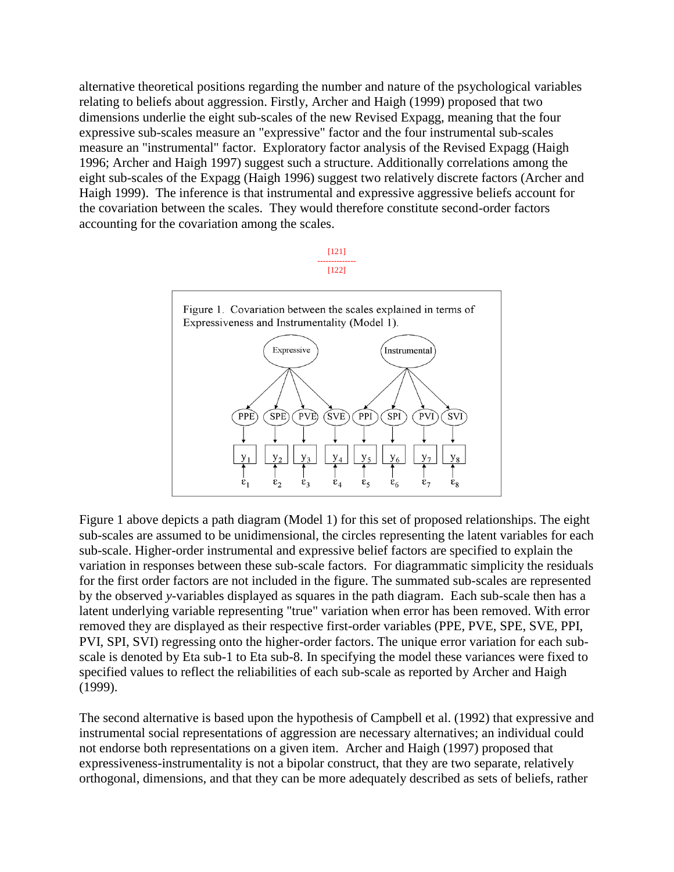alternative theoretical positions regarding the number and nature of the psychological variables relating to beliefs about aggression. Firstly, Archer and Haigh (1999) proposed that two dimensions underlie the eight sub-scales of the new Revised Expagg, meaning that the four expressive sub-scales measure an "expressive" factor and the four instrumental sub-scales measure an "instrumental" factor. Exploratory factor analysis of the Revised Expagg (Haigh 1996; Archer and Haigh 1997) suggest such a structure. Additionally correlations among the eight sub-scales of the Expagg (Haigh 1996) suggest two relatively discrete factors (Archer and Haigh 1999). The inference is that instrumental and expressive aggressive beliefs account for the covariation between the scales. They would therefore constitute second-order factors accounting for the covariation among the scales.





Figure 1 above depicts a path diagram (Model 1) for this set of proposed relationships. The eight sub-scales are assumed to be unidimensional, the circles representing the latent variables for each sub-scale. Higher-order instrumental and expressive belief factors are specified to explain the variation in responses between these sub-scale factors. For diagrammatic simplicity the residuals for the first order factors are not included in the figure. The summated sub-scales are represented by the observed *y*-variables displayed as squares in the path diagram. Each sub-scale then has a latent underlying variable representing "true" variation when error has been removed. With error removed they are displayed as their respective first-order variables (PPE, PVE, SPE, SVE, PPI, PVI, SPI, SVI) regressing onto the higher-order factors. The unique error variation for each subscale is denoted by Eta sub-1 to Eta sub-8. In specifying the model these variances were fixed to specified values to reflect the reliabilities of each sub-scale as reported by Archer and Haigh (1999).

The second alternative is based upon the hypothesis of Campbell et al. (1992) that expressive and instrumental social representations of aggression are necessary alternatives; an individual could not endorse both representations on a given item. Archer and Haigh (1997) proposed that expressiveness-instrumentality is not a bipolar construct, that they are two separate, relatively orthogonal, dimensions, and that they can be more adequately described as sets of beliefs, rather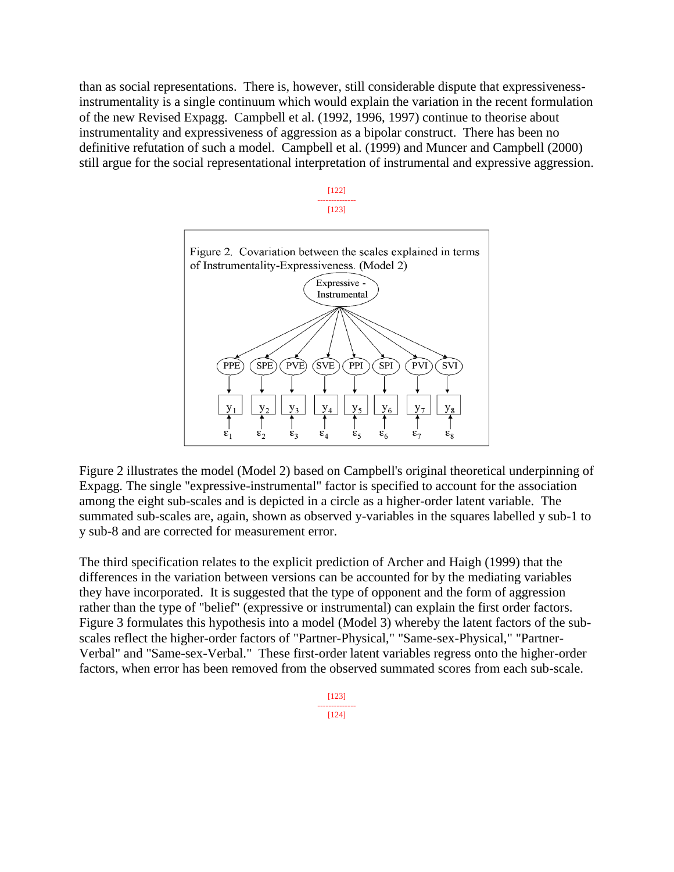than as social representations. There is, however, still considerable dispute that expressivenessinstrumentality is a single continuum which would explain the variation in the recent formulation of the new Revised Expagg. Campbell et al. (1992, 1996, 1997) continue to theorise about instrumentality and expressiveness of aggression as a bipolar construct. There has been no definitive refutation of such a model. Campbell et al. (1999) and Muncer and Campbell (2000) still argue for the social representational interpretation of instrumental and expressive aggression.





Figure 2 illustrates the model (Model 2) based on Campbell's original theoretical underpinning of Expagg. The single "expressive-instrumental" factor is specified to account for the association among the eight sub-scales and is depicted in a circle as a higher-order latent variable. The summated sub-scales are, again, shown as observed y-variables in the squares labelled y sub-1 to y sub-8 and are corrected for measurement error.

The third specification relates to the explicit prediction of Archer and Haigh (1999) that the differences in the variation between versions can be accounted for by the mediating variables they have incorporated. It is suggested that the type of opponent and the form of aggression rather than the type of "belief" (expressive or instrumental) can explain the first order factors. Figure 3 formulates this hypothesis into a model (Model 3) whereby the latent factors of the subscales reflect the higher-order factors of "Partner-Physical," "Same-sex-Physical," "Partner-Verbal" and "Same-sex-Verbal." These first-order latent variables regress onto the higher-order factors, when error has been removed from the observed summated scores from each sub-scale.

> [123] -------------- [124]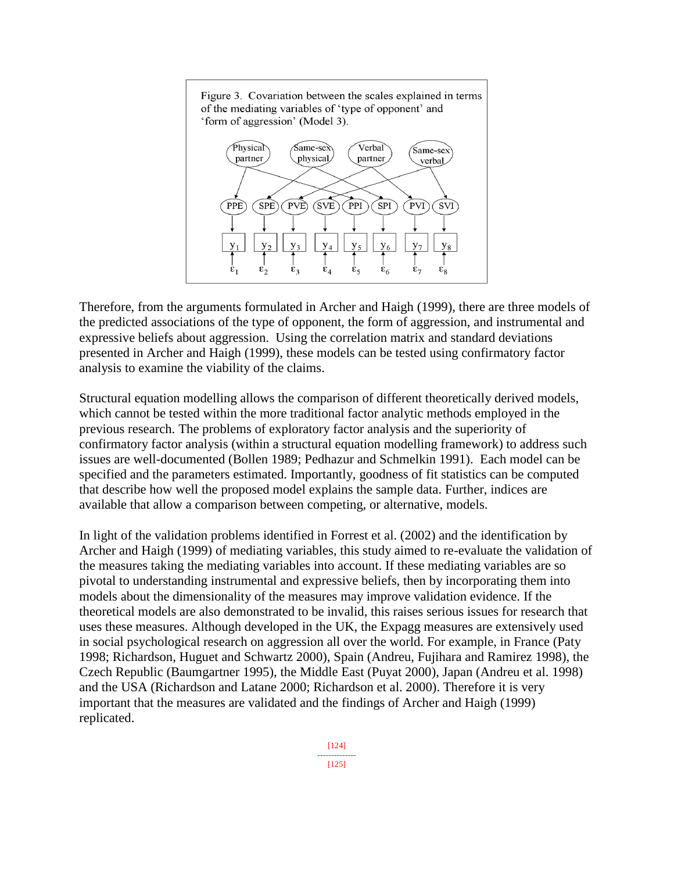

Therefore, from the arguments formulated in Archer and Haigh (1999), there are three models of the predicted associations of the type of opponent, the form of aggression, and instrumental and expressive beliefs about aggression. Using the correlation matrix and standard deviations presented in Archer and Haigh (1999), these models can be tested using confirmatory factor analysis to examine the viability of the claims.

Structural equation modelling allows the comparison of different theoretically derived models, which cannot be tested within the more traditional factor analytic methods employed in the previous research. The problems of exploratory factor analysis and the superiority of confirmatory factor analysis (within a structural equation modelling framework) to address such issues are well-documented (Bollen 1989; Pedhazur and Schmelkin 1991). Each model can be specified and the parameters estimated. Importantly, goodness of fit statistics can be computed that describe how well the proposed model explains the sample data. Further, indices are available that allow a comparison between competing, or alternative, models.

In light of the validation problems identified in Forrest et al. (2002) and the identification by Archer and Haigh (1999) of mediating variables, this study aimed to re-evaluate the validation of the measures taking the mediating variables into account. If these mediating variables are so pivotal to understanding instrumental and expressive beliefs, then by incorporating them into models about the dimensionality of the measures may improve validation evidence. If the theoretical models are also demonstrated to be invalid, this raises serious issues for research that uses these measures. Although developed in the UK, the Expagg measures are extensively used in social psychological research on aggression all over the world. For example, in France (Paty 1998; Richardson, Huguet and Schwartz 2000), Spain (Andreu, Fujihara and Ramirez 1998), the Czech Republic (Baumgartner 1995), the Middle East (Puyat 2000), Japan (Andreu et al. 1998) and the USA (Richardson and Latane 2000; Richardson et al. 2000). Therefore it is very important that the measures are validated and the findings of Archer and Haigh (1999) replicated.

> [124] -------------- [125]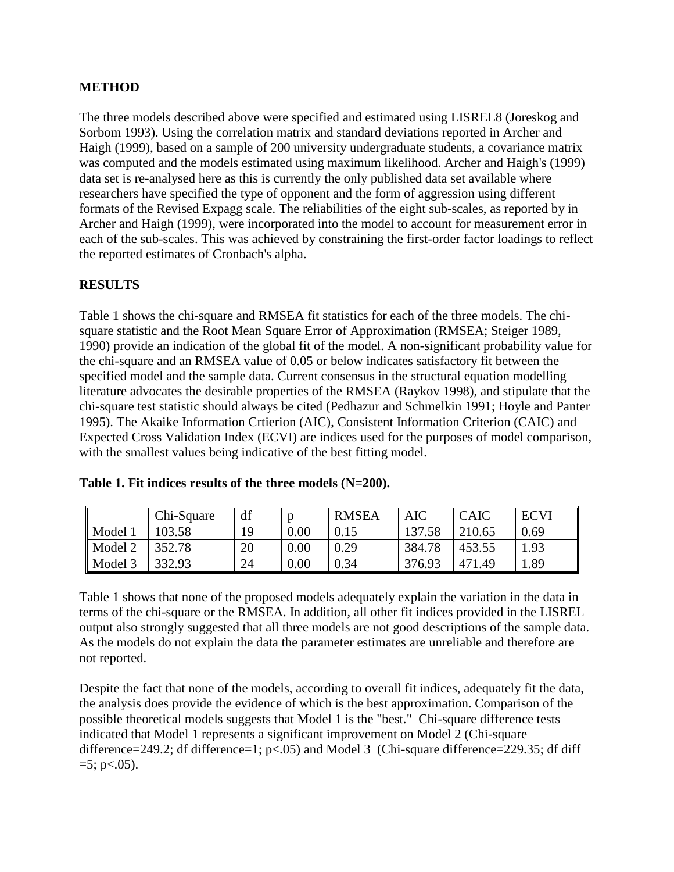#### **METHOD**

The three models described above were specified and estimated using LISREL8 (Joreskog and Sorbom 1993). Using the correlation matrix and standard deviations reported in Archer and Haigh (1999), based on a sample of 200 university undergraduate students, a covariance matrix was computed and the models estimated using maximum likelihood. Archer and Haigh's (1999) data set is re-analysed here as this is currently the only published data set available where researchers have specified the type of opponent and the form of aggression using different formats of the Revised Expagg scale. The reliabilities of the eight sub-scales, as reported by in Archer and Haigh (1999), were incorporated into the model to account for measurement error in each of the sub-scales. This was achieved by constraining the first-order factor loadings to reflect the reported estimates of Cronbach's alpha.

## **RESULTS**

Table 1 shows the chi-square and RMSEA fit statistics for each of the three models. The chisquare statistic and the Root Mean Square Error of Approximation (RMSEA; Steiger 1989, 1990) provide an indication of the global fit of the model. A non-significant probability value for the chi-square and an RMSEA value of 0.05 or below indicates satisfactory fit between the specified model and the sample data. Current consensus in the structural equation modelling literature advocates the desirable properties of the RMSEA (Raykov 1998), and stipulate that the chi-square test statistic should always be cited (Pedhazur and Schmelkin 1991; Hoyle and Panter 1995). The Akaike Information Crtierion (AIC), Consistent Information Criterion (CAIC) and Expected Cross Validation Index (ECVI) are indices used for the purposes of model comparison, with the smallest values being indicative of the best fitting model.

|         | Chi-Square | df  |      | <b>RMSEA</b> | <b>AIC</b> | <b>CAIC</b> | <b>ECVI</b> |
|---------|------------|-----|------|--------------|------------|-------------|-------------|
| Model 1 | 103.58     | 1 Q | 0.00 | 0.15         | 137.58     | 210.65      | 0.69        |
| Model 2 | 352.78     | 20  | 0.00 | 0.29         | 384.78     | 453.55      | 1.93        |
| Model 3 | 332.93     | 24  | 0.00 | 0.34         | 376.93     | 471.49      | 1.89        |

|  | Table 1. Fit indices results of the three models $(N=200)$ . |  |  |  |  |
|--|--------------------------------------------------------------|--|--|--|--|
|--|--------------------------------------------------------------|--|--|--|--|

Table 1 shows that none of the proposed models adequately explain the variation in the data in terms of the chi-square or the RMSEA. In addition, all other fit indices provided in the LISREL output also strongly suggested that all three models are not good descriptions of the sample data. As the models do not explain the data the parameter estimates are unreliable and therefore are not reported.

Despite the fact that none of the models, according to overall fit indices, adequately fit the data, the analysis does provide the evidence of which is the best approximation. Comparison of the possible theoretical models suggests that Model 1 is the "best." Chi-square difference tests indicated that Model 1 represents a significant improvement on Model 2 (Chi-square difference=249.2; df difference=1; p<.05) and Model 3 (Chi-square difference=229.35; df diff  $=5$ ; p $< .05$ ).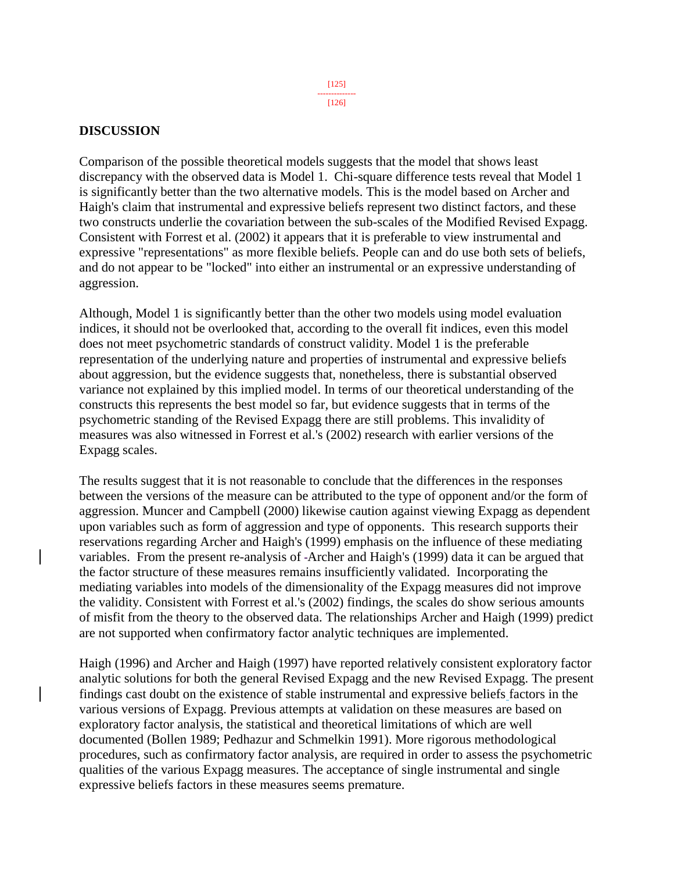#### [126]

#### **DISCUSSION**

Comparison of the possible theoretical models suggests that the model that shows least discrepancy with the observed data is Model 1. Chi-square difference tests reveal that Model 1 is significantly better than the two alternative models. This is the model based on Archer and Haigh's claim that instrumental and expressive beliefs represent two distinct factors, and these two constructs underlie the covariation between the sub-scales of the Modified Revised Expagg. Consistent with Forrest et al. (2002) it appears that it is preferable to view instrumental and expressive "representations" as more flexible beliefs. People can and do use both sets of beliefs, and do not appear to be "locked" into either an instrumental or an expressive understanding of aggression.

Although, Model 1 is significantly better than the other two models using model evaluation indices, it should not be overlooked that, according to the overall fit indices, even this model does not meet psychometric standards of construct validity. Model 1 is the preferable representation of the underlying nature and properties of instrumental and expressive beliefs about aggression, but the evidence suggests that, nonetheless, there is substantial observed variance not explained by this implied model. In terms of our theoretical understanding of the constructs this represents the best model so far, but evidence suggests that in terms of the psychometric standing of the Revised Expagg there are still problems. This invalidity of measures was also witnessed in Forrest et al.'s (2002) research with earlier versions of the Expagg scales.

The results suggest that it is not reasonable to conclude that the differences in the responses between the versions of the measure can be attributed to the type of opponent and/or the form of aggression. Muncer and Campbell (2000) likewise caution against viewing Expagg as dependent upon variables such as form of aggression and type of opponents. This research supports their reservations regarding Archer and Haigh's (1999) emphasis on the influence of these mediating variables. From the present re-analysis of -Archer and Haigh's (1999) data it can be argued that the factor structure of these measures remains insufficiently validated. Incorporating the mediating variables into models of the dimensionality of the Expagg measures did not improve the validity. Consistent with Forrest et al.'s (2002) findings, the scales do show serious amounts of misfit from the theory to the observed data. The relationships Archer and Haigh (1999) predict are not supported when confirmatory factor analytic techniques are implemented.

Haigh (1996) and Archer and Haigh (1997) have reported relatively consistent exploratory factor analytic solutions for both the general Revised Expagg and the new Revised Expagg. The present findings cast doubt on the existence of stable instrumental and expressive beliefs factors in the various versions of Expagg. Previous attempts at validation on these measures are based on exploratory factor analysis, the statistical and theoretical limitations of which are well documented (Bollen 1989; Pedhazur and Schmelkin 1991). More rigorous methodological procedures, such as confirmatory factor analysis, are required in order to assess the psychometric qualities of the various Expagg measures. The acceptance of single instrumental and single expressive beliefs factors in these measures seems premature.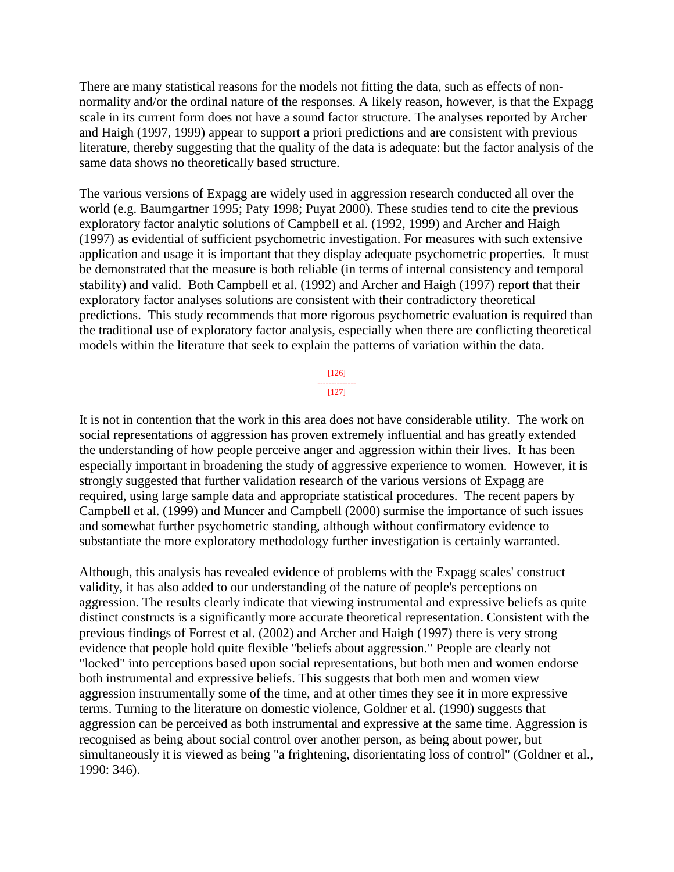There are many statistical reasons for the models not fitting the data, such as effects of nonnormality and/or the ordinal nature of the responses. A likely reason, however, is that the Expagg scale in its current form does not have a sound factor structure. The analyses reported by Archer and Haigh (1997, 1999) appear to support a priori predictions and are consistent with previous literature, thereby suggesting that the quality of the data is adequate: but the factor analysis of the same data shows no theoretically based structure.

The various versions of Expagg are widely used in aggression research conducted all over the world (e.g. Baumgartner 1995; Paty 1998; Puyat 2000). These studies tend to cite the previous exploratory factor analytic solutions of Campbell et al. (1992, 1999) and Archer and Haigh (1997) as evidential of sufficient psychometric investigation. For measures with such extensive application and usage it is important that they display adequate psychometric properties. It must be demonstrated that the measure is both reliable (in terms of internal consistency and temporal stability) and valid. Both Campbell et al. (1992) and Archer and Haigh (1997) report that their exploratory factor analyses solutions are consistent with their contradictory theoretical predictions. This study recommends that more rigorous psychometric evaluation is required than the traditional use of exploratory factor analysis, especially when there are conflicting theoretical models within the literature that seek to explain the patterns of variation within the data.

> [126] -------------- [127]

It is not in contention that the work in this area does not have considerable utility. The work on social representations of aggression has proven extremely influential and has greatly extended the understanding of how people perceive anger and aggression within their lives. It has been especially important in broadening the study of aggressive experience to women. However, it is strongly suggested that further validation research of the various versions of Expagg are required, using large sample data and appropriate statistical procedures. The recent papers by Campbell et al. (1999) and Muncer and Campbell (2000) surmise the importance of such issues and somewhat further psychometric standing, although without confirmatory evidence to substantiate the more exploratory methodology further investigation is certainly warranted.

Although, this analysis has revealed evidence of problems with the Expagg scales' construct validity, it has also added to our understanding of the nature of people's perceptions on aggression. The results clearly indicate that viewing instrumental and expressive beliefs as quite distinct constructs is a significantly more accurate theoretical representation. Consistent with the previous findings of Forrest et al. (2002) and Archer and Haigh (1997) there is very strong evidence that people hold quite flexible "beliefs about aggression." People are clearly not "locked" into perceptions based upon social representations, but both men and women endorse both instrumental and expressive beliefs. This suggests that both men and women view aggression instrumentally some of the time, and at other times they see it in more expressive terms. Turning to the literature on domestic violence, Goldner et al. (1990) suggests that aggression can be perceived as both instrumental and expressive at the same time. Aggression is recognised as being about social control over another person, as being about power, but simultaneously it is viewed as being "a frightening, disorientating loss of control" (Goldner et al., 1990: 346).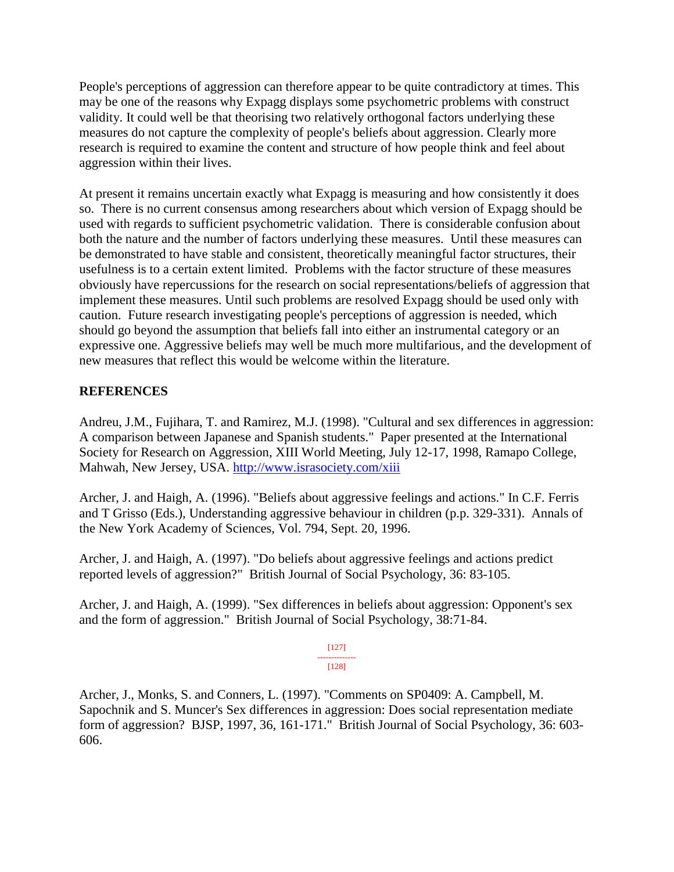People's perceptions of aggression can therefore appear to be quite contradictory at times. This may be one of the reasons why Expagg displays some psychometric problems with construct validity. It could well be that theorising two relatively orthogonal factors underlying these measures do not capture the complexity of people's beliefs about aggression. Clearly more research is required to examine the content and structure of how people think and feel about aggression within their lives.

At present it remains uncertain exactly what Expagg is measuring and how consistently it does so. There is no current consensus among researchers about which version of Expagg should be used with regards to sufficient psychometric validation. There is considerable confusion about both the nature and the number of factors underlying these measures. Until these measures can be demonstrated to have stable and consistent, theoretically meaningful factor structures, their usefulness is to a certain extent limited. Problems with the factor structure of these measures obviously have repercussions for the research on social representations/beliefs of aggression that implement these measures. Until such problems are resolved Expagg should be used only with caution. Future research investigating people's perceptions of aggression is needed, which should go beyond the assumption that beliefs fall into either an instrumental category or an expressive one. Aggressive beliefs may well be much more multifarious, and the development of new measures that reflect this would be welcome within the literature.

## **REFERENCES**

Andreu, J.M., Fujihara, T. and Ramirez, M.J. (1998). "Cultural and sex differences in aggression: A comparison between Japanese and Spanish students." Paper presented at the International Society for Research on Aggression, XIII World Meeting, July 12-17, 1998, Ramapo College, Mahwah, New Jersey, USA.<http://www.israsociety.com/xiii>

Archer, J. and Haigh, A. (1996). "Beliefs about aggressive feelings and actions." In C.F. Ferris and T Grisso (Eds.), Understanding aggressive behaviour in children (p.p. 329-331). Annals of the New York Academy of Sciences, Vol. 794, Sept. 20, 1996.

Archer, J. and Haigh, A. (1997). "Do beliefs about aggressive feelings and actions predict reported levels of aggression?" British Journal of Social Psychology, 36: 83-105.

Archer, J. and Haigh, A. (1999). "Sex differences in beliefs about aggression: Opponent's sex and the form of aggression." British Journal of Social Psychology*,* 38:71-84.

#### [127]

#### -------------- [128]

Archer, J., Monks, S. and Conners, L. (1997). "Comments on SP0409: A. Campbell, M. Sapochnik and S. Muncer's Sex differences in aggression: Does social representation mediate form of aggression? BJSP, 1997, 36, 161-171." British Journal of Social Psychology, 36: 603- 606.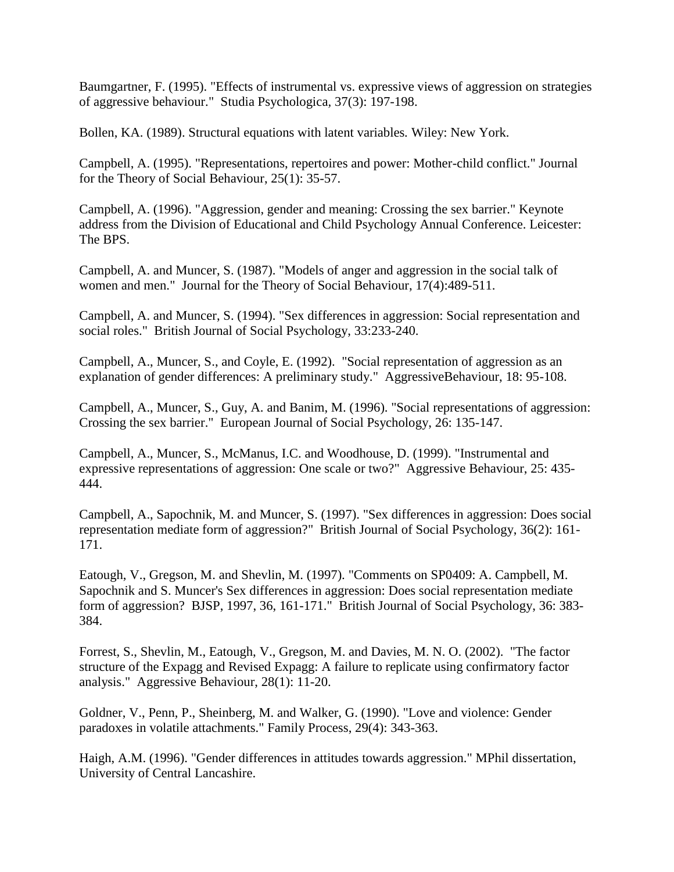Baumgartner, F. (1995). "Effects of instrumental vs. expressive views of aggression on strategies of aggressive behaviour." Studia Psychologica*,* 37(3): 197-198.

Bollen, KA. (1989). Structural equations with latent variables*.* Wiley: New York.

Campbell, A. (1995). "Representations, repertoires and power: Mother-child conflict." Journal for the Theory of Social Behaviour, 25(1): 35-57.

Campbell, A. (1996). "Aggression, gender and meaning: Crossing the sex barrier." Keynote address from the Division of Educational and Child Psychology Annual Conference. Leicester: The BPS.

Campbell, A. and Muncer, S. (1987). "Models of anger and aggression in the social talk of women and men."Journal for the Theory of Social Behaviour, 17(4):489-511.

Campbell, A. and Muncer, S. (1994). "Sex differences in aggression: Social representation and social roles." British Journal of Social Psychology, 33:233-240.

Campbell, A., Muncer, S., and Coyle, E. (1992). "Social representation of aggression as an explanation of gender differences: A preliminary study." AggressiveBehaviour, 18: 95-108.

Campbell, A., Muncer, S., Guy, A. and Banim, M. (1996). "Social representations of aggression: Crossing the sex barrier." European Journal of Social Psychology, 26: 135-147.

Campbell, A., Muncer, S., McManus, I.C. and Woodhouse, D. (1999). "Instrumental and expressive representations of aggression: One scale or two?" Aggressive Behaviour, 25: 435- 444.

Campbell, A., Sapochnik, M. and Muncer, S. (1997). "Sex differences in aggression: Does social representation mediate form of aggression?" British Journal of Social Psychology, 36(2): 161- 171.

Eatough, V., Gregson, M. and Shevlin, M. (1997). "Comments on SP0409: A. Campbell, M. Sapochnik and S. Muncer's Sex differences in aggression: Does social representation mediate form of aggression? BJSP, 1997, 36, 161-171." British Journal of Social Psychology, 36: 383- 384.

Forrest, S., Shevlin, M., Eatough, V., Gregson, M. and Davies, M. N. O. (2002). "The factor structure of the Expagg and Revised Expagg: A failure to replicate using confirmatory factor analysis." Aggressive Behaviour, 28(1): 11-20.

Goldner, V., Penn, P., Sheinberg, M. and Walker, G. (1990). "Love and violence: Gender paradoxes in volatile attachments." Family Process, 29(4): 343-363.

Haigh, A.M. (1996). "Gender differences in attitudes towards aggression." MPhil dissertation, University of Central Lancashire.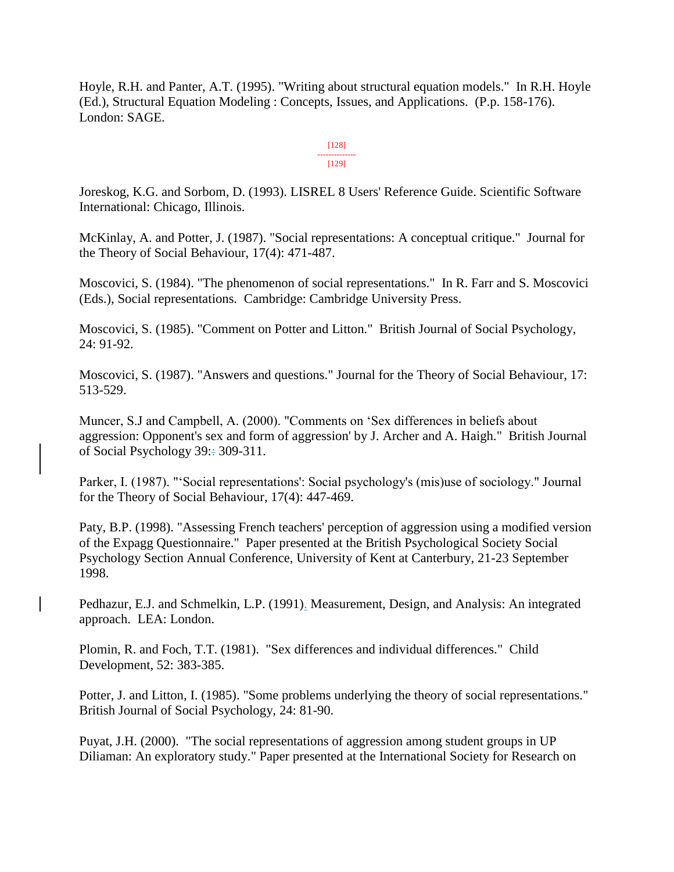Hoyle, R.H. and Panter, A.T. (1995). "Writing about structural equation models." In R.H. Hoyle (Ed.), Structural Equation Modeling : Concepts, Issues, and Applications. (P.p. 158-176). London: SAGE.

> [128] -------------- [129]

Joreskog, K.G. and Sorbom, D. (1993). LISREL 8 Users' Reference Guide. Scientific Software International: Chicago, Illinois.

McKinlay, A. and Potter, J. (1987). "Social representations: A conceptual critique." Journal for the Theory of Social Behaviour, 17(4): 471-487.

Moscovici, S. (1984). "The phenomenon of social representations." In R. Farr and S. Moscovici (Eds.), Social representations*.* Cambridge: Cambridge University Press.

Moscovici, S. (1985). "Comment on Potter and Litton." British Journal of Social Psychology, 24: 91-92.

Moscovici, S. (1987). "Answers and questions." Journal for the Theory of Social Behaviour, 17: 513-529.

Muncer, S.J and Campbell, A. (2000). "Comments on 'Sex differences in beliefs about aggression: Opponent's sex and form of aggression' by J. Archer and A. Haigh." British Journal of Social Psychology 39:: 309-311.

Parker, I. (1987). "'Social representations': Social psychology's (mis)use of sociology." Journal for the Theory of Social Behaviour, 17(4): 447-469.

Paty, B.P. (1998). "Assessing French teachers' perception of aggression using a modified version of the Expagg Questionnaire." Paper presented at the British Psychological Society Social Psychology Section Annual Conference, University of Kent at Canterbury, 21-23 September 1998.

Pedhazur, E.J. and Schmelkin, L.P. (1991). Measurement, Design, and Analysis: An integrated approach. LEA: London.

Plomin, R. and Foch, T.T. (1981). "Sex differences and individual differences." Child Development, 52: 383-385.

Potter, J. and Litton, I. (1985). "Some problems underlying the theory of social representations." British Journal of Social Psychology, 24: 81-90.

Puyat, J.H. (2000). "The social representations of aggression among student groups in UP Diliaman: An exploratory study." Paper presented at the International Society for Research on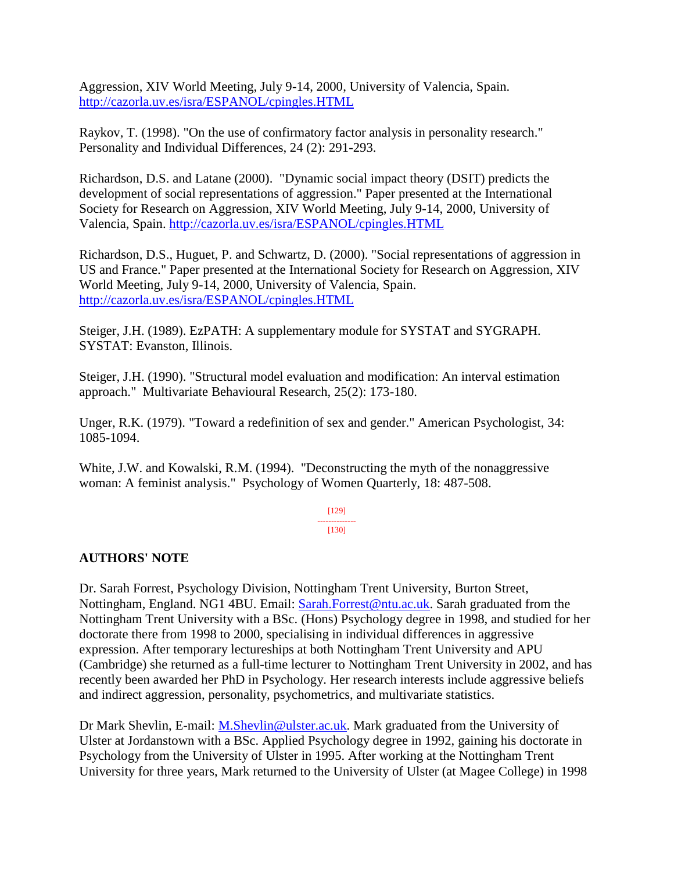Aggression, XIV World Meeting, July 9-14, 2000, University of Valencia, Spain. <http://cazorla.uv.es/isra/ESPANOL/cpingles.HTML>

Raykov, T. (1998). "On the use of confirmatory factor analysis in personality research." Personality and Individual Differences, 24 (2): 291-293.

Richardson, D.S. and Latane (2000). "Dynamic social impact theory (DSIT) predicts the development of social representations of aggression." Paper presented at the International Society for Research on Aggression, XIV World Meeting, July 9-14, 2000, University of Valencia, Spain.<http://cazorla.uv.es/isra/ESPANOL/cpingles.HTML>

Richardson, D.S., Huguet, P. and Schwartz, D. (2000). "Social representations of aggression in US and France." Paper presented at the International Society for Research on Aggression, XIV World Meeting, July 9-14, 2000, University of Valencia, Spain. <http://cazorla.uv.es/isra/ESPANOL/cpingles.HTML>

Steiger, J.H. (1989). EzPATH: A supplementary module for SYSTAT and SYGRAPH. SYSTAT: Evanston, Illinois.

Steiger, J.H. (1990). "Structural model evaluation and modification: An interval estimation approach." Multivariate Behavioural Research, 25(2): 173-180.

Unger, R.K. (1979). "Toward a redefinition of sex and gender." American Psychologist, 34: 1085-1094.

White, J.W. and Kowalski, R.M. (1994). "Deconstructing the myth of the nonaggressive woman: A feminist analysis." Psychology of Women Quarterly, 18: 487-508.

#### [129] -------------- [130]

#### **AUTHORS' NOTE**

Dr. Sarah Forrest, Psychology Division, Nottingham Trent University, Burton Street, Nottingham, England. NG1 4BU. Email: [Sarah.Forrest@ntu.ac.uk.](mailto:Sarah.Forrest@ntu.ac.uk) Sarah graduated from the Nottingham Trent University with a BSc. (Hons) Psychology degree in 1998, and studied for her doctorate there from 1998 to 2000, specialising in individual differences in aggressive expression. After temporary lectureships at both Nottingham Trent University and APU (Cambridge) she returned as a full-time lecturer to Nottingham Trent University in 2002, and has recently been awarded her PhD in Psychology. Her research interests include aggressive beliefs and indirect aggression, personality, psychometrics, and multivariate statistics.

Dr Mark Shevlin, E-mail: [M.Shevlin@ulster.ac.uk.](mailto:M.Shevlin@ulster.ac.uk) Mark graduated from the University of Ulster at Jordanstown with a BSc. Applied Psychology degree in 1992, gaining his doctorate in Psychology from the University of Ulster in 1995. After working at the Nottingham Trent University for three years, Mark returned to the University of Ulster (at Magee College) in 1998